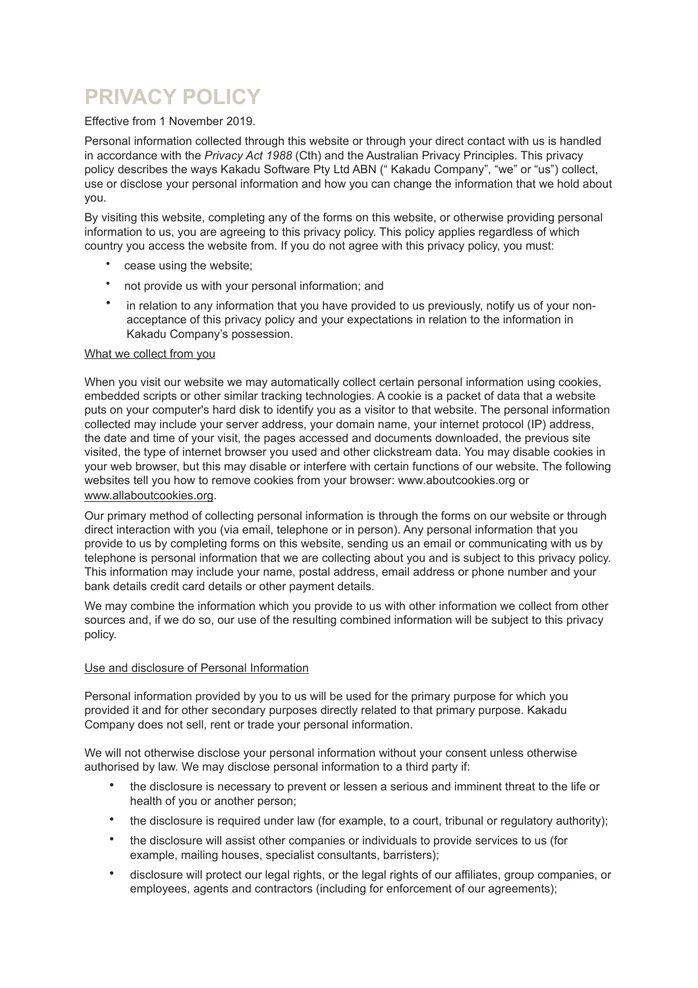# **PRIVACY POLICY**

Effective from 1 November 2019.

Personal information collected through this website or through your direct contact with us is handled in accordance with the *Privacy Act 1988* (Cth) and the Australian Privacy Principles. This privacy policy describes the ways Kakadu Software Pty Ltd ABN (" Kakadu Company", "we" or "us") collect, use or disclose your personal information and how you can change the information that we hold about you.

By visiting this website, completing any of the forms on this website, or otherwise providing personal information to us, you are agreeing to this privacy policy. This policy applies regardless of which country you access the website from. If you do not agree with this privacy policy, you must:

- cease using the website;
- not provide us with your personal information; and
- in relation to any information that you have provided to us previously, notify us of your nonacceptance of this privacy policy and your expectations in relation to the information in Kakadu Company's possession.

# What we collect from you

When you visit our website we may automatically collect certain personal information using cookies, embedded scripts or other similar tracking technologies. A cookie is a packet of data that a website puts on your computer's hard disk to identify you as a visitor to that website. The personal information collected may include your server address, your domain name, your internet protocol (IP) address, the date and time of your visit, the pages accessed and documents downloaded, the previous site visited, the type of internet browser you used and other clickstream data. You may disable cookies in your web browser, but this may disable or interfere with certain functions of our website. The following websites tell you how to remove cookies from your browser: [www.aboutcookies.org](http://www.aboutcookies.org) or [www.allaboutcookies.org](http://www.allaboutcookies.org/).

Our primary method of collecting personal information is through the forms on our website or through direct interaction with you (via email, telephone or in person). Any personal information that you provide to us by completing forms on this website, sending us an email or communicating with us by telephone is personal information that we are collecting about you and is subject to this privacy policy. This information may include your name, postal address, email address or phone number and your bank details credit card details or other payment details.

We may combine the information which you provide to us with other information we collect from other sources and, if we do so, our use of the resulting combined information will be subject to this privacy policy.

# Use and disclosure of Personal Information

Personal information provided by you to us will be used for the primary purpose for which you provided it and for other secondary purposes directly related to that primary purpose. Kakadu Company does not sell, rent or trade your personal information.

We will not otherwise disclose your personal information without your consent unless otherwise authorised by law. We may disclose personal information to a third party if:

- the disclosure is necessary to prevent or lessen a serious and imminent threat to the life or health of you or another person;
- the disclosure is required under law (for example, to a court, tribunal or regulatory authority);
- the disclosure will assist other companies or individuals to provide services to us (for example, mailing houses, specialist consultants, barristers);
- disclosure will protect our legal rights, or the legal rights of our affiliates, group companies, or employees, agents and contractors (including for enforcement of our agreements);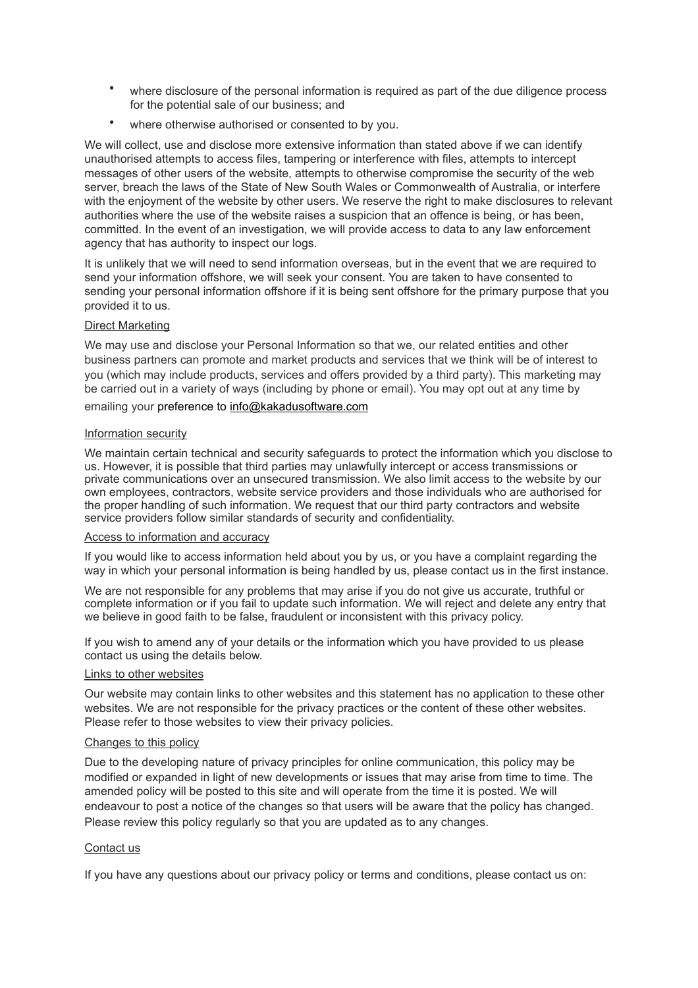- where disclosure of the personal information is required as part of the due diligence process for the potential sale of our business; and
- where otherwise authorised or consented to by you.

We will collect, use and disclose more extensive information than stated above if we can identify unauthorised attempts to access files, tampering or interference with files, attempts to intercept messages of other users of the website, attempts to otherwise compromise the security of the web server, breach the laws of the State of New South Wales or Commonwealth of Australia, or interfere with the enjoyment of the website by other users. We reserve the right to make disclosures to relevant authorities where the use of the website raises a suspicion that an offence is being, or has been, committed. In the event of an investigation, we will provide access to data to any law enforcement agency that has authority to inspect our logs.

It is unlikely that we will need to send information overseas, but in the event that we are required to send your information offshore, we will seek your consent. You are taken to have consented to sending your personal information offshore if it is being sent offshore for the primary purpose that you provided it to us.

## Direct Marketing

We may use and disclose your Personal Information so that we, our related entities and other business partners can promote and market products and services that we think will be of interest to you (which may include products, services and offers provided by a third party). This marketing may be carried out in a variety of ways (including by phone or email). You may opt out at any time by emailing your preference to [info@kakadusoftware.com](mailto:info@kakadusoftware.com)

#### Information security

We maintain certain technical and security safeguards to protect the information which you disclose to us. However, it is possible that third parties may unlawfully intercept or access transmissions or private communications over an unsecured transmission. We also limit access to the website by our own employees, contractors, website service providers and those individuals who are authorised for the proper handling of such information. We request that our third party contractors and website service providers follow similar standards of security and confidentiality.

#### Access to information and accuracy

If you would like to access information held about you by us, or you have a complaint regarding the way in which your personal information is being handled by us, please contact us in the first instance.

We are not responsible for any problems that may arise if you do not give us accurate, truthful or complete information or if you fail to update such information. We will reject and delete any entry that we believe in good faith to be false, fraudulent or inconsistent with this privacy policy.

If you wish to amend any of your details or the information which you have provided to us please contact us using the details below.

## Links to other websites

Our website may contain links to other websites and this statement has no application to these other websites. We are not responsible for the privacy practices or the content of these other websites. Please refer to those websites to view their privacy policies.

#### Changes to this policy

Due to the developing nature of privacy principles for online communication, this policy may be modified or expanded in light of new developments or issues that may arise from time to time. The amended policy will be posted to this site and will operate from the time it is posted. We will endeavour to post a notice of the changes so that users will be aware that the policy has changed. Please review this policy regularly so that you are updated as to any changes.

#### Contact us

If you have any questions about our privacy policy or terms and conditions, please contact us on: